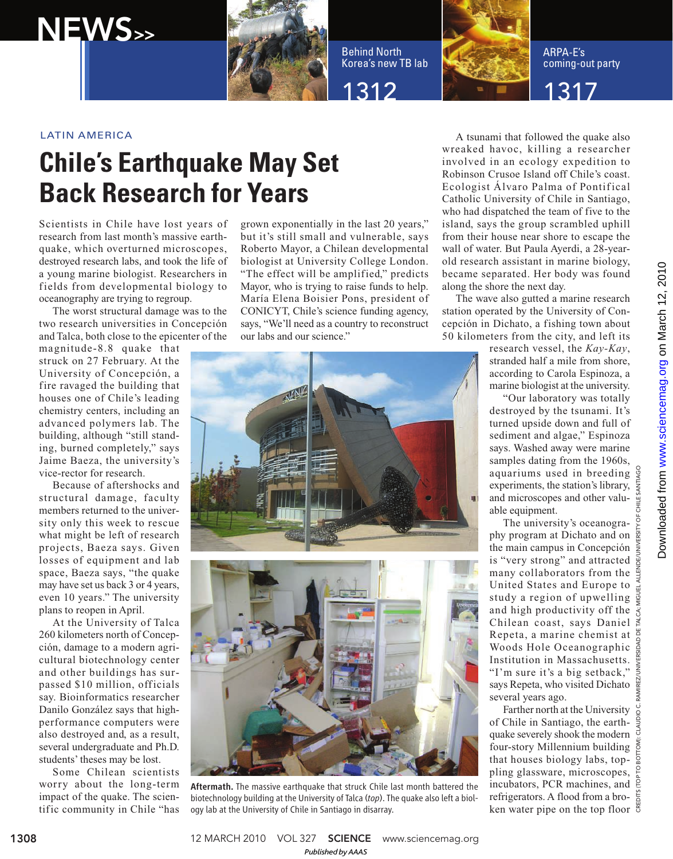

Behind North Korea's new TB lab



ARPA-E's coming-out party

1312 22 1317

## LATIN AMERICA

NEWS>>

## **Chile's Earthquake May Set Back Research for Years**

Scientists in Chile have lost years of research from last month's massive earthquake, which overturned microscopes, destroyed research labs, and took the life of a young marine biologist. Researchers in fields from developmental biology to oceanography are trying to regroup.

The worst structural damage was to the two research universities in Concepción and Talca, both close to the epicenter of the

magnitude-8.8 quake that struck on 27 February. At the University of Concepción, a fire ravaged the building that houses one of Chile's leading chemistry centers, including an advanced polymers lab. The building, although "still standing, burned completely," says Jaime Baeza, the university's vice-rector for research.

Because of aftershocks and structural damage, faculty members returned to the university only this week to rescue what might be left of research projects, Baeza says. Given losses of equipment and lab space, Baeza says, "the quake may have set us back 3 or 4 years, even 10 years." The university plans to reopen in April.

At the University of Talca 260 kilometers north of Concepción, damage to a modern agricultural biotechnology center and other buildings has surpassed \$10 million, officials say. Bioinformatics researcher Danilo González says that highperformance computers were also destroyed and, as a result, several undergraduate and Ph.D. students' theses may be lost.

Some Chilean scientists worry about the long-term impact of the quake. The scientific community in Chile "has grown exponentially in the last 20 years," but it's still small and vulnerable, says Roberto Mayor, a Chilean developmental biologist at University College London. "The effect will be amplified," predicts Mayor, who is trying to raise funds to help. María Elena Boisier Pons, president of CONICYT, Chile's science funding agency, says, "We'll need as a country to reconstruct our labs and our science."



Aftermath. The massive earthquake that struck Chile last month battered the biotechnology building at the University of Talca (*top*). The quake also left a biology lab at the University of Chile in Santiago in disarray.

A tsunami that followed the quake also wreaked havoc, killing a researcher involved in an ecology expedition to Robinson Crusoe Island off Chile's coast. Ecologist Álvaro Palma of Pontifical Catholic University of Chile in Santiago, who had dispatched the team of five to the island, says the group scrambled uphill from their house near shore to escape the wall of water. But Paula Ayerdi, a 28-yearold research assistant in marine biology, became separated. Her body was found along the shore the next day.

The wave also gutted a marine research station operated by the University of Concepción in Dichato, a fishing town about 50 kilometers from the city, and left its

> research vessel, the *Kay-Kay*, stranded half a mile from shore, according to Carola Espinoza, a marine biologist at the university.

"Our laboratory was totally destroyed by the tsunami. It's turned upside down and full of sediment and algae," Espinoza says. Washed away were marine samples dating from the 1960s, aquariums used in breeding experiments, the station's library, and microscopes and other valuable equipment.

The university's oceanography program at Dichato and on the main campus in Concepción is "very strong" and attracted many collaborators from the United States and Europe to study a region of upwelling and high productivity off the  $\frac{1}{5}$ Chilean coast, says Daniel Repeta, a marine chemist at Woods Hole Oceanographic Institution in Massachusetts. "I'm sure it's a big setback," says Repeta, who visited Dichato several years ago. CREDITS (TOP TO BOTTOM): CLAUDIO C. RAMIREZ/UNIVERSIDAD DE TALCA; MIGUEL ALLENDE/UNIVERSITY OF CHILE SANTIAGO

Farther north at the University of Chile in Santiago, the earthquake severely shook the modern four-story Millennium building  $\frac{1}{2}$ that houses biology labs, toppling glassware, microscopes, incubators, PCR machines, and refrigerators. A flood from a broken water pipe on the top floor